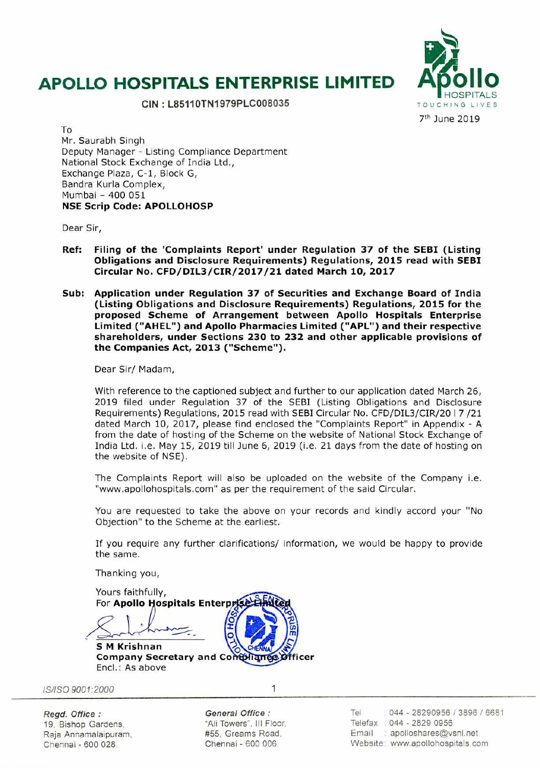# **APOLLO HOSPITALS ENTERPRISE LIMITED**

CIN: L85110TN1979PLC008035



To Mr. Saurabh Singh Deputy Manager - Listing Compliance Department National Stock Exchange of India Ltd., Exchange Plaza, C-1, Block G, Bandra Kurla Complex, Mumbai - 400 051 NSE Scrip Code: APOLLOHOSP

Dear Sir,

- Ref: Filing of the 'Complaints Report' under Regulation 37 of the SEBI (Listing Obligations and Disclosure Requirements) Regulations, 2015 read with SEBI Circular No. CFD/DILJ/CIR/2017 /21 dated March 10, 2017
- Sub: Application under Regulation 37 of Securities and Exchange Board of India (Listing Obligations and Disclosure Requirements) Regulations, 2015 for the proposed Scheme of Arrangement between Apollo Hospitals Enterprise Limited ("AHEL") and Apollo Pharmacies Limited ("APL") and their respective shareholders, under Sections 230 to 232 and other applicable provisions of the Companies Act, 2013 ("Scheme").

Dear Sir/ Madam,

With reference to the captioned subject and further to our application dated March 26, 2019 filed under Regulation 37 of the SEBI (Listing Obligations and Disclosure Requirements) Regulations, 2015 read with SEBI Circular No. CFD/DIL3/CIR/20 I 7 /21 dated March 10, 2017, please find enclosed the "Complaints Report" in Appendix - A from the date of hosting of the Scheme on the website of National Stock Exchange of India Ltd. i.e. May 15, 2019 till June 6, 2019 (i.e. 21 days from the date of hosting on the website of NSE).

The Complaints Report will also be uploaded on the website of the Company i.e. "www.apollohospitals.com" as per the requirement of the said Circular.

You are requested to take the above on your records and kindly accord your "No Objection" to the Scheme at the earliest.

If you require any further clarifications/ information, we would be happy to provide the same.

Thanking you,

Yours faithfully, For Apollo Hospitals Enterpris c **S M Krishnan** Company Secretary and Contpliance Officer

Encl.: As above

/SI/SO *9001:2000* <sup>1</sup>

*Regd. Office :*  19, Bishop Gardens. Raja Annamalaipuram. Chennal - 600 028.

*General Office :*  "Ali Towers". Ill Floor. #55. Greams Road. Chennai - 600 006.

Tel 044 - 28290956 *I* 3896 *I* 6681 Telefax · 044 - 2829 0956 Email : apolloshares@vsnl.net Website: www.apollohospitals.com